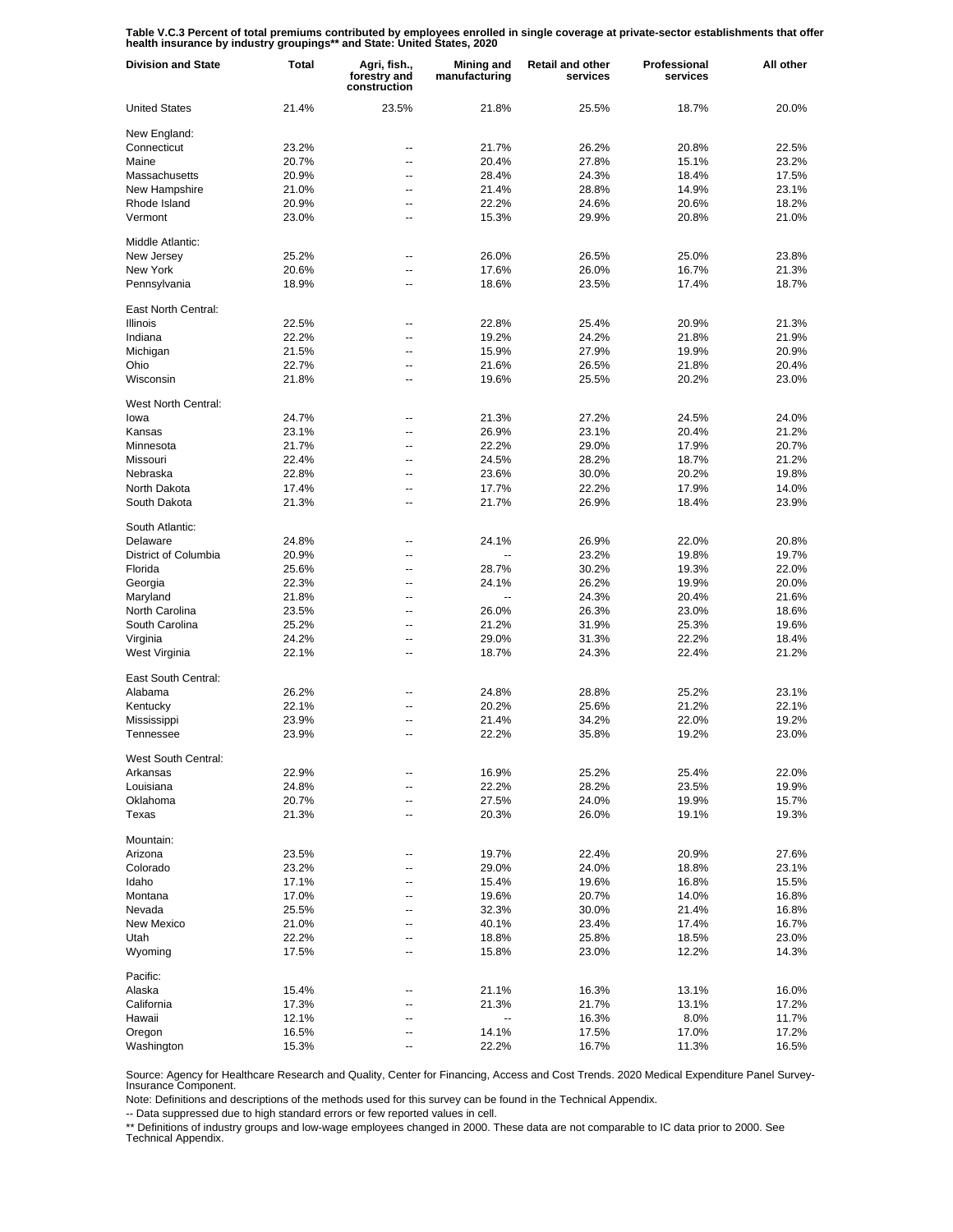**Table V.C.3 Percent of total premiums contributed by employees enrolled in single coverage at private-sector establishments that offer health insurance by industry groupings\*\* and State: United States, 2020**

| <b>Division and State</b> | <b>Total</b> | Agri, fish.,<br>forestry and<br>construction | Mining and<br>manufacturing | <b>Retail and other</b><br>services | Professional<br>services | All other |
|---------------------------|--------------|----------------------------------------------|-----------------------------|-------------------------------------|--------------------------|-----------|
| <b>United States</b>      | 21.4%        | 23.5%                                        | 21.8%                       | 25.5%                               | 18.7%                    | 20.0%     |
| New England:              |              |                                              |                             |                                     |                          |           |
| Connecticut               | 23.2%        | --                                           | 21.7%                       | 26.2%                               | 20.8%                    | 22.5%     |
| Maine                     | 20.7%        | --                                           | 20.4%                       | 27.8%                               | 15.1%                    | 23.2%     |
| Massachusetts             | 20.9%        | --                                           | 28.4%                       | 24.3%                               | 18.4%                    | 17.5%     |
| New Hampshire             | 21.0%        | --                                           | 21.4%                       | 28.8%                               | 14.9%                    | 23.1%     |
| Rhode Island              | 20.9%        | --                                           | 22.2%                       | 24.6%                               | 20.6%                    | 18.2%     |
| Vermont                   | 23.0%        | --                                           | 15.3%                       | 29.9%                               | 20.8%                    | 21.0%     |
| Middle Atlantic:          |              |                                              |                             |                                     |                          |           |
| New Jersev                | 25.2%        | --                                           | 26.0%                       | 26.5%                               | 25.0%                    | 23.8%     |
| New York                  | 20.6%        | --                                           | 17.6%                       | 26.0%                               | 16.7%                    | 21.3%     |
| Pennsylvania              | 18.9%        | --                                           | 18.6%                       | 23.5%                               | 17.4%                    | 18.7%     |
| East North Central:       |              |                                              |                             |                                     |                          |           |
| <b>Illinois</b>           | 22.5%        | --                                           | 22.8%                       | 25.4%                               | 20.9%                    | 21.3%     |
| Indiana                   | 22.2%        | --                                           | 19.2%                       | 24.2%                               | 21.8%                    | 21.9%     |
| Michigan                  | 21.5%        | Ξ.                                           | 15.9%                       | 27.9%                               | 19.9%                    | 20.9%     |
| Ohio                      | 22.7%        | --                                           | 21.6%                       | 26.5%                               | 21.8%                    | 20.4%     |
| Wisconsin                 | 21.8%        | --                                           | 19.6%                       | 25.5%                               | 20.2%                    | 23.0%     |
| West North Central:       |              |                                              |                             |                                     |                          |           |
| lowa                      | 24.7%        | --                                           | 21.3%                       | 27.2%                               | 24.5%                    | 24.0%     |
| Kansas                    | 23.1%        | --                                           | 26.9%                       | 23.1%                               | 20.4%                    | 21.2%     |
| Minnesota                 | 21.7%        | --                                           | 22.2%                       | 29.0%                               | 17.9%                    | 20.7%     |
| Missouri                  | 22.4%        | --                                           | 24.5%                       | 28.2%                               | 18.7%                    | 21.2%     |
| Nebraska                  | 22.8%        | --                                           | 23.6%                       | 30.0%                               | 20.2%                    | 19.8%     |
| North Dakota              | 17.4%        | --                                           | 17.7%                       | 22.2%                               | 17.9%                    | 14.0%     |
| South Dakota              | 21.3%        | --                                           | 21.7%                       | 26.9%                               | 18.4%                    | 23.9%     |
| South Atlantic:           |              |                                              |                             |                                     |                          |           |
| Delaware                  | 24.8%        | --                                           | 24.1%                       | 26.9%                               | 22.0%                    | 20.8%     |
| District of Columbia      | 20.9%        | --                                           |                             | 23.2%                               | 19.8%                    | 19.7%     |
| Florida                   | 25.6%        | --                                           | 28.7%                       | 30.2%                               | 19.3%                    | 22.0%     |
| Georgia                   | 22.3%        | --                                           | 24.1%                       | 26.2%                               | 19.9%                    | 20.0%     |
| Maryland                  | 21.8%        | --                                           | --                          | 24.3%                               | 20.4%                    | 21.6%     |
| North Carolina            | 23.5%        | --                                           | 26.0%                       | 26.3%                               | 23.0%                    | 18.6%     |
| South Carolina            | 25.2%        | --                                           | 21.2%                       | 31.9%                               | 25.3%                    | 19.6%     |
| Virginia                  | 24.2%        | --                                           | 29.0%                       | 31.3%                               | 22.2%                    | 18.4%     |
| West Virginia             | 22.1%        | --                                           | 18.7%                       | 24.3%                               | 22.4%                    | 21.2%     |
| East South Central:       |              |                                              |                             |                                     |                          |           |
| Alabama                   | 26.2%        | --                                           | 24.8%                       | 28.8%                               | 25.2%                    | 23.1%     |
| Kentucky                  | 22.1%        | --                                           | 20.2%                       | 25.6%                               | 21.2%                    | 22.1%     |
| Mississippi               | 23.9%        | --                                           | 21.4%                       | 34.2%                               | 22.0%                    | 19.2%     |
| Tennessee                 | 23.9%        | Ξ.                                           | 22.2%                       | 35.8%                               | 19.2%                    | 23.0%     |
| West South Central:       |              |                                              |                             |                                     |                          |           |
| Arkansas                  | 22.9%        |                                              | 16.9%                       | 25.2%                               | 25.4%                    | 22.0%     |
| Louisiana                 | 24.8%        | --                                           | 22.2%                       | 28.2%                               | 23.5%                    | 19.9%     |
| Oklahoma                  | 20.7%        | --                                           | 27.5%                       | 24.0%                               | 19.9%                    | 15.7%     |
| Texas                     | 21.3%        | --                                           | 20.3%                       | 26.0%                               | 19.1%                    | 19.3%     |
| Mountain:                 |              |                                              |                             |                                     |                          |           |
| Arizona                   | 23.5%        | --                                           | 19.7%                       | 22.4%                               | 20.9%                    | 27.6%     |
| Colorado                  | 23.2%        | --                                           | 29.0%                       | 24.0%                               | 18.8%                    | 23.1%     |
| Idaho                     | 17.1%        | --                                           | 15.4%                       | 19.6%                               | 16.8%                    | 15.5%     |
| Montana                   | 17.0%        | --                                           | 19.6%                       | 20.7%                               | 14.0%                    | 16.8%     |
| Nevada                    | 25.5%        | --                                           | 32.3%                       | 30.0%                               | 21.4%                    | 16.8%     |
| New Mexico                | 21.0%        | --                                           | 40.1%                       | 23.4%                               | 17.4%                    | 16.7%     |
| Utah                      | 22.2%        | --                                           | 18.8%                       | 25.8%                               | 18.5%                    | 23.0%     |
| Wyoming                   | 17.5%        | --                                           | 15.8%                       | 23.0%                               | 12.2%                    | 14.3%     |
| Pacific:                  |              |                                              |                             |                                     |                          |           |
| Alaska                    | 15.4%        |                                              | 21.1%                       | 16.3%                               | 13.1%                    | 16.0%     |
| California                | 17.3%        | --                                           | 21.3%                       | 21.7%                               | 13.1%                    | 17.2%     |
| Hawaii                    | 12.1%        | --                                           | --                          | 16.3%                               | 8.0%                     | 11.7%     |
| Oregon                    | 16.5%        | --                                           | 14.1%                       | 17.5%                               | 17.0%                    | 17.2%     |
| Washington                | 15.3%        |                                              | 22.2%                       | 16.7%                               | 11.3%                    | 16.5%     |

Source: Agency for Healthcare Research and Quality, Center for Financing, Access and Cost Trends. 2020 Medical Expenditure Panel Survey-Insurance Component.

Note: Definitions and descriptions of the methods used for this survey can be found in the Technical Appendix.

-- Data suppressed due to high standard errors or few reported values in cell.

\*\* Definitions of industry groups and low-wage employees changed in 2000. These data are not comparable to IC data prior to 2000. See Technical Appendix.